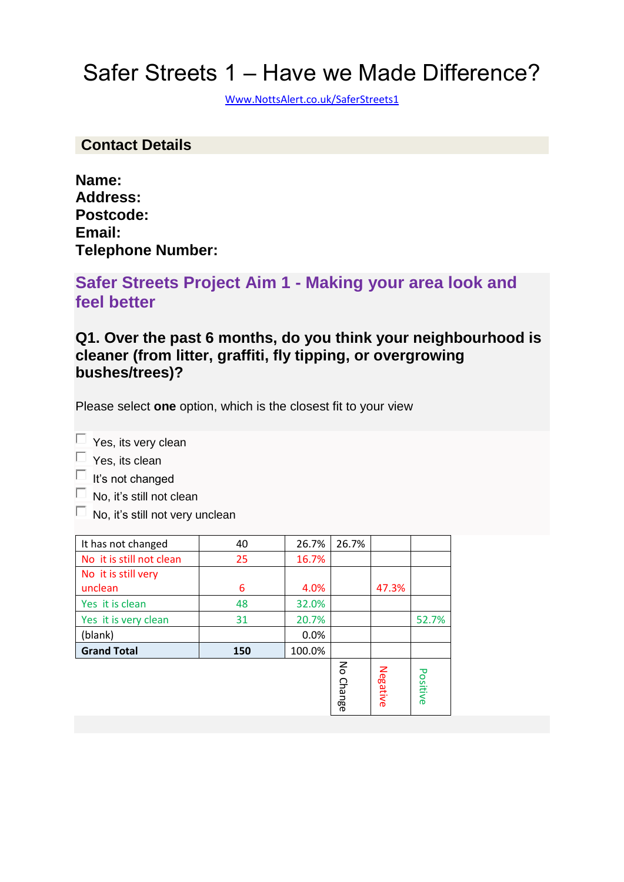# Safer Streets 1 – Have we Made Difference?

[Www.NottsAlert.co.uk/SaferStreets1](http://www.nottsalert.co.uk/SaferStreets1)

#### **Contact Details**

| Name:                    |  |
|--------------------------|--|
| <b>Address:</b>          |  |
| Postcode:                |  |
| Email:                   |  |
| <b>Telephone Number:</b> |  |

### **Safer Streets Project Aim 1 - Making your area look and feel better**

#### **Q1. Over the past 6 months, do you think your neighbourhood is cleaner (from litter, graffiti, fly tipping, or overgrowing bushes/trees)?**

Please select **one** option, which is the closest fit to your view

 $\Box$  Yes, its very clean

 $\Box$  Yes, its clean

 $\Box$  It's not changed

- $\Box$  No, it's still not clean
- $\Box$  No, it's still not very unclean

| It has not changed       | 40  | 26.7%  | 26.7%                         |          |          |
|--------------------------|-----|--------|-------------------------------|----------|----------|
| No it is still not clean | 25  | 16.7%  |                               |          |          |
| No it is still very      |     |        |                               |          |          |
| unclean                  | 6   | 4.0%   |                               | 47.3%    |          |
| Yes it is clean          | 48  | 32.0%  |                               |          |          |
| Yes it is very clean     | 31  | 20.7%  |                               |          | 52.7%    |
| (blank)                  |     | 0.0%   |                               |          |          |
| <b>Grand Total</b>       | 150 | 100.0% |                               |          |          |
|                          |     |        | $\mathsf{S}$<br><b>Change</b> | Negative | Positive |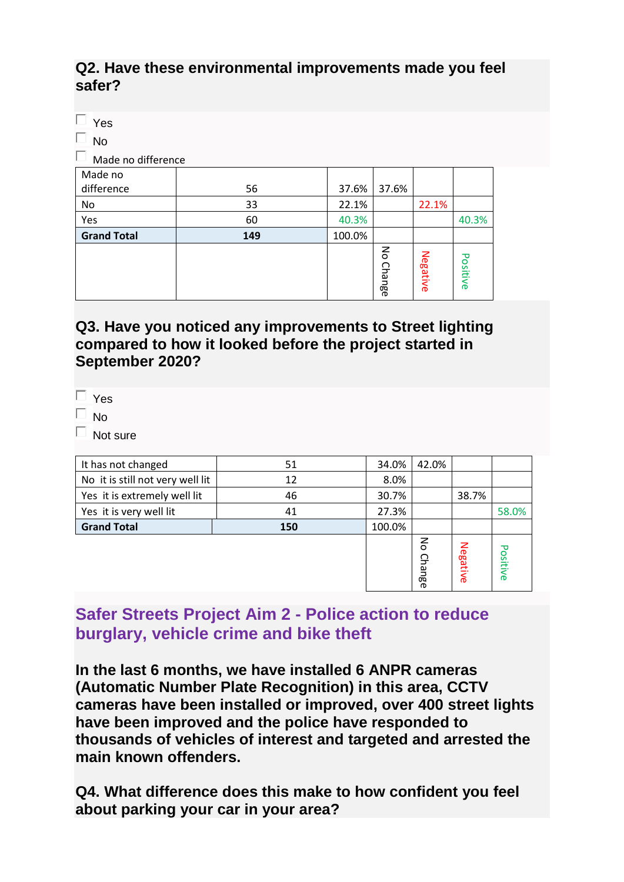#### **Q2. Have these environmental improvements made you feel safer?**

| Yes                     |     |        |                                     |          |          |
|-------------------------|-----|--------|-------------------------------------|----------|----------|
| ш<br><b>No</b>          |     |        |                                     |          |          |
| ш<br>Made no difference |     |        |                                     |          |          |
| Made no                 |     |        |                                     |          |          |
| difference              | 56  | 37.6%  | 37.6%                               |          |          |
| No                      | 33  | 22.1%  |                                     | 22.1%    |          |
| Yes                     | 60  | 40.3%  |                                     |          | 40.3%    |
| <b>Grand Total</b>      | 149 | 100.0% |                                     |          |          |
|                         |     |        | $\mathsf{S}% _{T}$<br><b>Change</b> | Negative | Positive |

#### **Q3. Have you noticed any improvements to Street lighting compared to how it looked before the project started in September 2020?**

| c<br>ب د |
|----------|
|          |

No

 $\Box$  Not sure

| It has not changed               | 51  | 34.0%  | 42.0%                |          |          |
|----------------------------------|-----|--------|----------------------|----------|----------|
| No it is still not very well lit | 12  | 8.0%   |                      |          |          |
| Yes it is extremely well lit     | 46  | 30.7%  |                      | 38.7%    |          |
| Yes it is very well lit          | 41  | 27.3%  |                      |          | 58.0%    |
| <b>Grand Total</b>               | 150 | 100.0% |                      |          |          |
|                                  |     |        | $\epsilon$<br>Change | Negative | Positive |

### **Safer Streets Project Aim 2 - Police action to reduce burglary, vehicle crime and bike theft**

**In the last 6 months, we have installed 6 ANPR cameras (Automatic Number Plate Recognition) in this area, CCTV cameras have been installed or improved, over 400 street lights have been improved and the police have responded to thousands of vehicles of interest and targeted and arrested the main known offenders.**

**Q4. What difference does this make to how confident you feel about parking your car in your area?**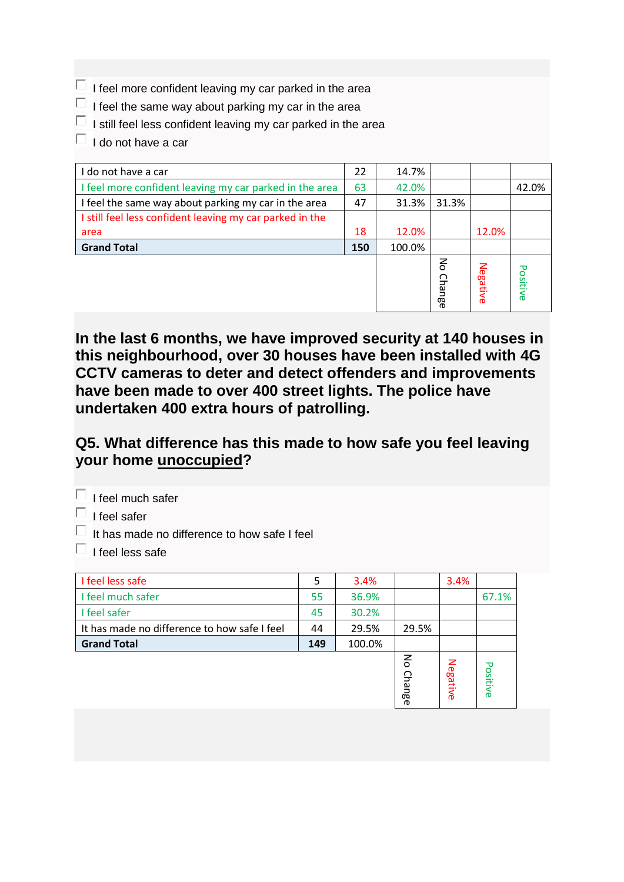- $\Box$  I feel more confident leaving my car parked in the area
- $\Box$  I feel the same way about parking my car in the area
- $\Box$  I still feel less confident leaving my car parked in the area
- $\Box$  I do not have a car

| I do not have a car                                      | 22  | 14.7%  |                        |          |          |
|----------------------------------------------------------|-----|--------|------------------------|----------|----------|
| I feel more confident leaving my car parked in the area  | 63  | 42.0%  |                        |          | 42.0%    |
| I feel the same way about parking my car in the area     | 47  | 31.3%  | 31.3%                  |          |          |
| I still feel less confident leaving my car parked in the |     |        |                        |          |          |
| area                                                     | 18  | 12.0%  |                        | 12.0%    |          |
| <b>Grand Total</b>                                       | 150 | 100.0% |                        |          |          |
|                                                          |     |        | $\mathsf{S}$<br>Change | Negative | Positive |

**In the last 6 months, we have improved security at 140 houses in this neighbourhood, over 30 houses have been installed with 4G CCTV cameras to deter and detect offenders and improvements have been made to over 400 street lights. The police have undertaken 400 extra hours of patrolling.**

#### **Q5. What difference has this made to how safe you feel leaving your home unoccupied?**

 $\Box$  I feel much safer

 $\Box$  I feel safer

It has made no difference to how safe I feel

 $\Box$  I feel less safe

| I feel less safe                             | 5   | 3.4%   |             | 3.4%     |          |
|----------------------------------------------|-----|--------|-------------|----------|----------|
| I feel much safer                            | 55  | 36.9%  |             |          | 67.1%    |
| I feel safer                                 | 45  | 30.2%  |             |          |          |
| It has made no difference to how safe I feel | 44  | 29.5%  | 29.5%       |          |          |
| <b>Grand Total</b>                           | 149 | 100.0% |             |          |          |
|                                              |     |        | 중<br>Change | Negative | Positive |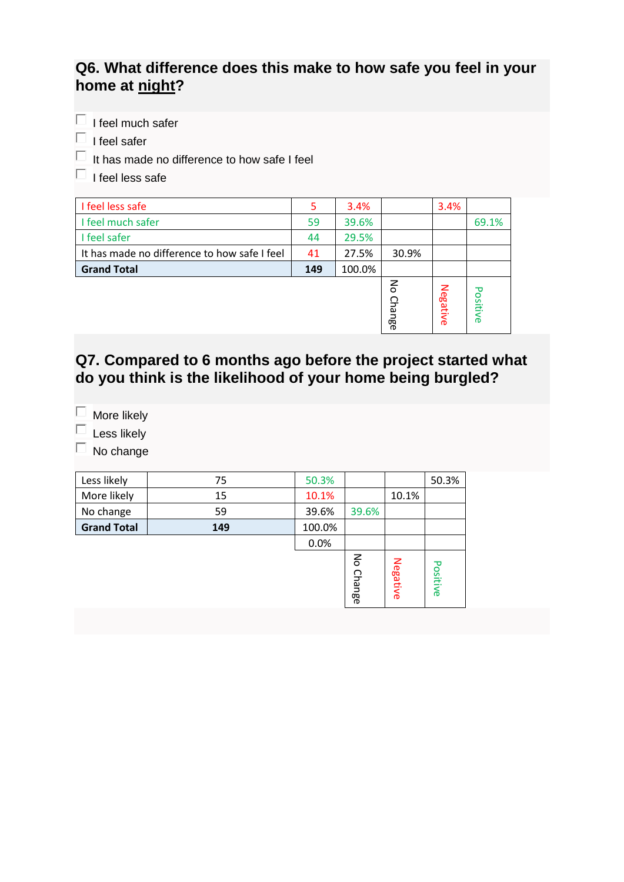### **Q6. What difference does this make to how safe you feel in your home at night?**

 $\Box$  I feel much safer

 $\Box$  I feel safer

 $\Box$  It has made no difference to how safe I feel

 $\Box$  I feel less safe

| I feel less safe                             | 5   | 3.4%   |                               | 3.4%     |                           |
|----------------------------------------------|-----|--------|-------------------------------|----------|---------------------------|
| I feel much safer                            | 59  | 39.6%  |                               |          | 69.1%                     |
| I feel safer                                 | 44  | 29.5%  |                               |          |                           |
| It has made no difference to how safe I feel | 41  | 27.5%  | 30.9%                         |          |                           |
| <b>Grand Total</b>                           | 149 | 100.0% |                               |          |                           |
|                                              |     |        | $\mathsf{S}$<br><b>Change</b> | Negative | ᠊ᠣ<br><b>OSitiv</b><br>ര് |

### **Q7. Compared to 6 months ago before the project started what do you think is the likelihood of your home being burgled?**

More likely  $\Box$ 

 $\Box$  Less likely

 $\Box$  No change

| Less likely        | 75  | 50.3%  |           |          | 50.3%    |
|--------------------|-----|--------|-----------|----------|----------|
| More likely        | 15  | 10.1%  |           | 10.1%    |          |
| No change          | 59  | 39.6%  | 39.6%     |          |          |
| <b>Grand Total</b> | 149 | 100.0% |           |          |          |
|                    |     | 0.0%   |           |          |          |
|                    |     |        | No Change | Negative | Positive |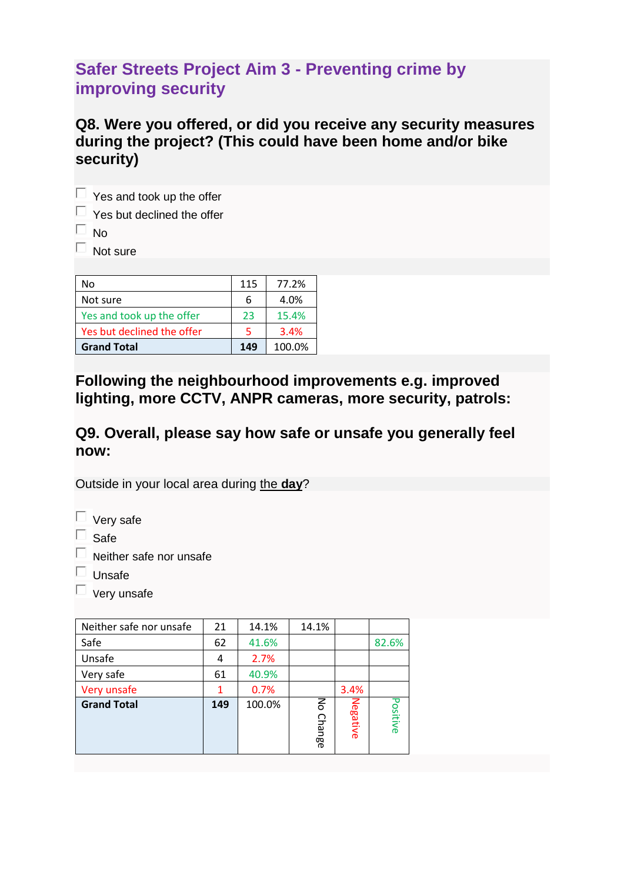## **Safer Streets Project Aim 3 - Preventing crime by improving security**

#### **Q8. Were you offered, or did you receive any security measures during the project? (This could have been home and/or bike security)**

 $\Box$  Yes and took up the offer  $\Box$  Yes but declined the offer  $\Box$  No.

 $\Box$  Not sure

| No                         | 115 | 77.2%  |
|----------------------------|-----|--------|
| Not sure                   | 6   | 4.0%   |
| Yes and took up the offer  | 23  | 15.4%  |
| Yes but declined the offer | 5   | 3.4%   |
| <b>Grand Total</b>         | 149 | 100.0% |

**Following the neighbourhood improvements e.g. improved lighting, more CCTV, ANPR cameras, more security, patrols:**

#### **Q9. Overall, please say how safe or unsafe you generally feel now:**

Outside in your local area during the **day**?

 $\Box$  Safe

- $\Box$  Neither safe nor unsafe
- $\Box$  Unsafe
- $\Box$  very unsafe

| Neither safe nor unsafe | 21  | 14.1%  | 14.1%              |          |          |
|-------------------------|-----|--------|--------------------|----------|----------|
| Safe                    | 62  | 41.6%  |                    |          | 82.6%    |
| Unsafe                  | 4   | 2.7%   |                    |          |          |
| Very safe               | 61  | 40.9%  |                    |          |          |
| Very unsafe             |     | 0.7%   |                    | 3.4%     |          |
| <b>Grand Total</b>      | 149 | 100.0% | る<br><b>Change</b> | Negative | Positive |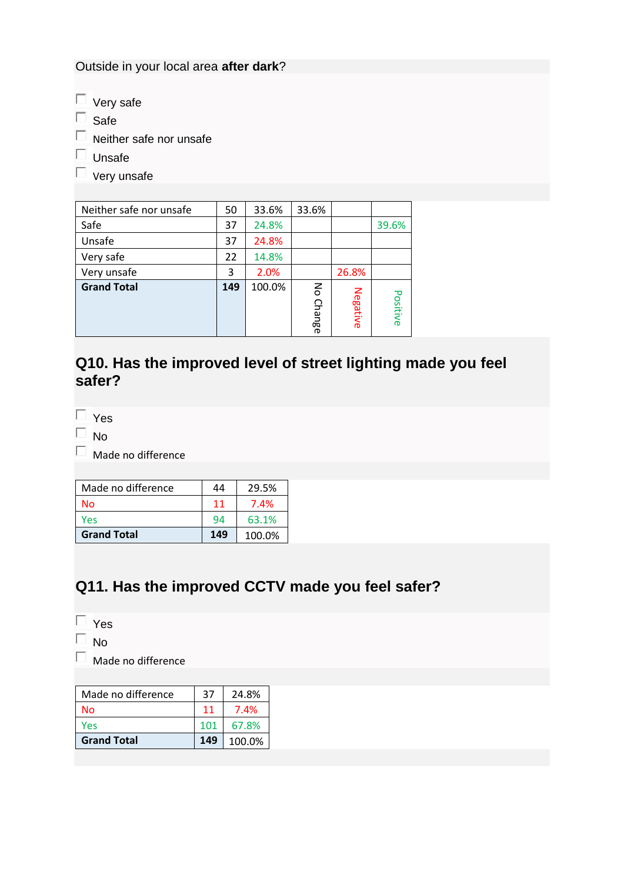Outside in your local area **after dark**?

- $\Box$  Very safe
- $\Box$  Safe
- $\Box$  Neither safe nor unsafe
- $\Box$  Unsafe
- $\square$  very unsafe

| Neither safe nor unsafe | 50  | 33.6%  | 33.6%     |          |          |
|-------------------------|-----|--------|-----------|----------|----------|
| Safe                    | 37  | 24.8%  |           |          | 39.6%    |
| Unsafe                  | 37  | 24.8%  |           |          |          |
| Very safe               | 22  | 14.8%  |           |          |          |
| Very unsafe             | 3   | 2.0%   |           | 26.8%    |          |
| <b>Grand Total</b>      | 149 | 100.0% | No Change | Negative | Positive |

### **Q10. Has the improved level of street lighting made you feel safer?**

 $\Box$  Yes

 $\Box$  No

 $\square$  Made no difference

| Made no difference | 44  | 29.5%  |
|--------------------|-----|--------|
| Nο                 | 11  | 7.4%   |
| Yes                | 94  | 63.1%  |
| <b>Grand Total</b> | 149 | 100.0% |

### **Q11. Has the improved CCTV made you feel safer?**

- $\Box$  Yes
- No П.

 $\Box$  Made no difference

| Made no difference | 37  | 24.8%  |
|--------------------|-----|--------|
| No                 | 11  | 7.4%   |
| Yes                | 101 | 67.8%  |
| <b>Grand Total</b> | 149 | 100.0% |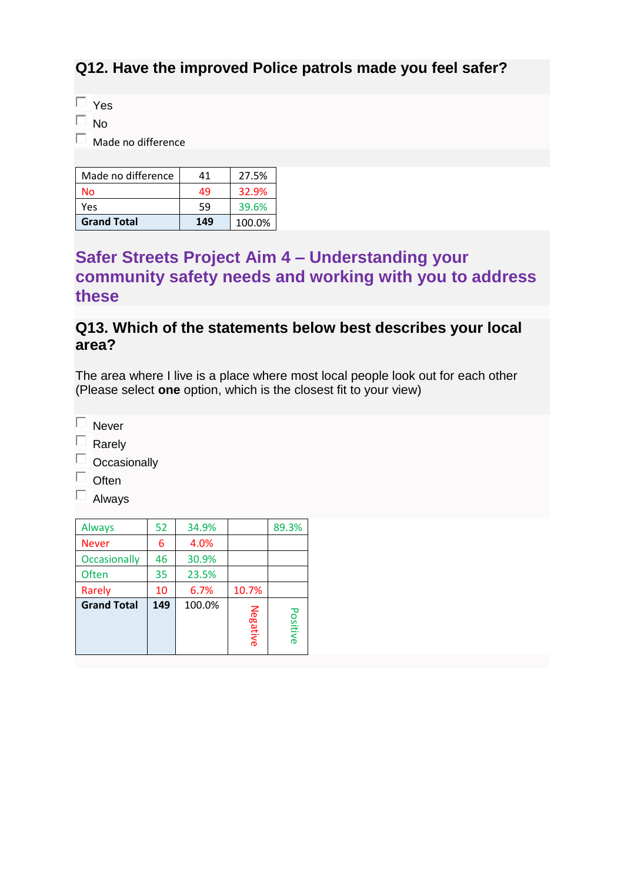### **Q12. Have the improved Police patrols made you feel safer?**

 $\Box$  Yes

 $\Box$  No.

 $\Box$  Made no difference

| Made no difference | 41  | 27.5%  |
|--------------------|-----|--------|
| No                 | 49  | 32.9%  |
| Yes                | 59  | 39.6%  |
| <b>Grand Total</b> | 149 | 100.0% |

### **Safer Streets Project Aim 4 – Understanding your community safety needs and working with you to address these**

#### **Q13. Which of the statements below best describes your local area?**

The area where I live is a place where most local people look out for each other (Please select **one** option, which is the closest fit to your view)

 $\square$  Never

 $\Box$  Rarely

 $\Box$  Occasionally

 $\Box$  Often

 $\Box$  Always

| <b>Always</b>       | 52            | 34.9% |          | 89.3%    |
|---------------------|---------------|-------|----------|----------|
| <b>Never</b>        | 6             | 4.0%  |          |          |
| <b>Occasionally</b> | 46            | 30.9% |          |          |
| <b>Often</b>        | 35            | 23.5% |          |          |
| Rarely              | 10            | 6.7%  | 10.7%    |          |
| <b>Grand Total</b>  | 100.0%<br>149 |       | Negative | Positive |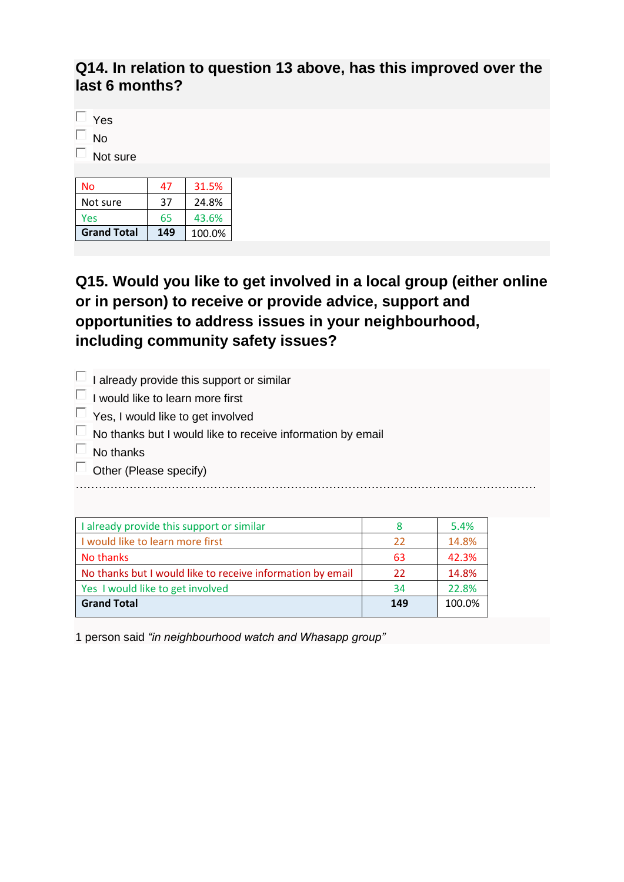#### **Q14. In relation to question 13 above, has this improved over the last 6 months?**

 $\Box$  Yes

 $\square$  No

 $\Box$  Not sure

| No                 | 47  | 31.5%  |
|--------------------|-----|--------|
| Not sure           | 37  | 24.8%  |
| Yes                | 65  | 43.6%  |
| <b>Grand Total</b> | 149 | 100.0% |

**Q15. Would you like to get involved in a local group (either online or in person) to receive or provide advice, support and opportunities to address issues in your neighbourhood, including community safety issues?**

| $\Box$ I already provide this support or similar                  |
|-------------------------------------------------------------------|
| $\Box$ I would like to learn more first                           |
| $\Box$ Yes, I would like to get involved                          |
| $\Box$ No thanks but I would like to receive information by email |
| No thanks                                                         |
| $\Box$ Other (Please specify)                                     |
|                                                                   |
|                                                                   |

| I already provide this support or similar                  |     | 5.4%   |
|------------------------------------------------------------|-----|--------|
| I would like to learn more first                           | 22  | 14.8%  |
| No thanks                                                  | 63  | 42.3%  |
| No thanks but I would like to receive information by email | 22  | 14.8%  |
| Yes I would like to get involved                           | 34  | 22.8%  |
| <b>Grand Total</b>                                         | 149 | 100.0% |

1 person said *"in neighbourhood watch and Whasapp group"*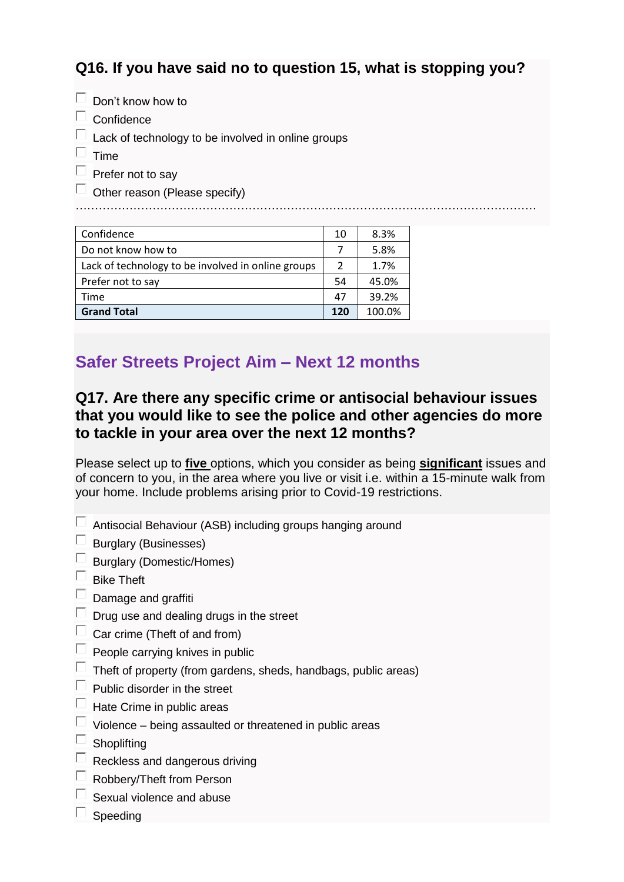### **Q16. If you have said no to question 15, what is stopping you?**

 $\Box$  Don't know how to

 $\Box$  Confidence

Lack of technology to be involved in online groups

 $\Box$  Time

 $\Box$  Prefer not to say

 $\Box$  Other reason (Please specify)

…………………………………………………………………………………………………………

| Confidence                                         | 10  | 8.3%   |
|----------------------------------------------------|-----|--------|
| Do not know how to                                 |     | 5.8%   |
| Lack of technology to be involved in online groups | 2   | 1.7%   |
| Prefer not to say                                  | 54  | 45.0%  |
| Time                                               | 47  | 39.2%  |
| <b>Grand Total</b>                                 | 120 | 100.0% |

## **Safer Streets Project Aim – Next 12 months**

#### **Q17. Are there any specific crime or antisocial behaviour issues that you would like to see the police and other agencies do more to tackle in your area over the next 12 months?**

Please select up to **five** options, which you consider as being **significant** issues and of concern to you, in the area where you live or visit i.e. within a 15-minute walk from your home. Include problems arising prior to Covid-19 restrictions.

 $\Box$  Antisocial Behaviour (ASB) including groups hanging around

 $\Box$ Burglary (Businesses)

 $\Box$ Burglary (Domestic/Homes)

 $\Box$ Bike Theft

- $\Box$  Damage and graffiti
- $\Box$ Drug use and dealing drugs in the street
- $\Box$  Car crime (Theft of and from)
- $\Box$ People carrying knives in public
- $\Box$ Theft of property (from gardens, sheds, handbags, public areas)
- $\Box$  Public disorder in the street
- $\Box$ Hate Crime in public areas
- $\Box$ Violence – being assaulted or threatened in public areas
- $\Box$ **Shoplifting**
- $\Box$ Reckless and dangerous driving
- $\Box$ Robbery/Theft from Person
- Sexual violence and abuse
	- Speeding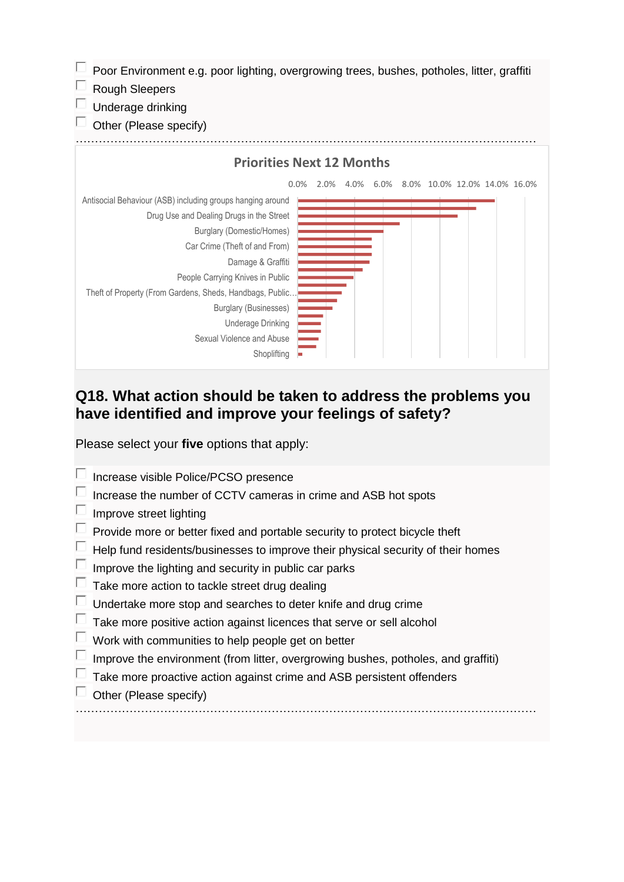Poor Environment e.g. poor lighting, overgrowing trees, bushes, potholes, litter, graffiti П.  $\Box$ Rough Sleepers П Underage drinking Е Other (Please specify) **Priorities Next 12 Months**0.0% 2.0% 4.0% 6.0% 8.0% 10.0% 12.0% 14.0% 16.0% Antisocial Behaviour (ASB) including groups hanging around Drug Use and Dealing Drugs in the Street Burglary (Domestic/Homes) Car Crime (Theft of and From) Damage & Graffiti People Carrying Knives in Public Theft of Property (From Gardens, Sheds, Handbags, Public… Burglary (Businesses) Underage Drinking Sexual Violence and Abuse Shoplifting

#### **Q18. What action should be taken to address the problems you have identified and improve your feelings of safety?**

Please select your **five** options that apply:

| Increase visible Police/PCSO presence                                             |
|-----------------------------------------------------------------------------------|
| Increase the number of CCTV cameras in crime and ASB hot spots                    |
| Improve street lighting                                                           |
| Provide more or better fixed and portable security to protect bicycle theft       |
| Help fund residents/businesses to improve their physical security of their homes  |
| Improve the lighting and security in public car parks                             |
| Take more action to tackle street drug dealing                                    |
| Undertake more stop and searches to deter knife and drug crime                    |
| Take more positive action against licences that serve or sell alcohol             |
| Work with communities to help people get on better                                |
| Improve the environment (from litter, overgrowing bushes, potholes, and graffiti) |
| Take more proactive action against crime and ASB persistent offenders             |
| Other (Please specify)                                                            |
|                                                                                   |
|                                                                                   |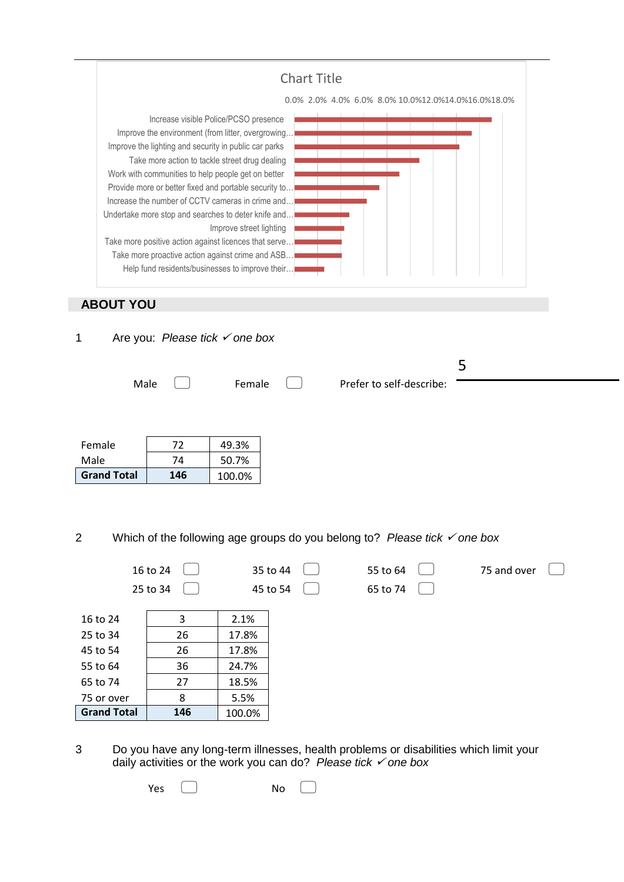

2 Which of the following age groups do you belong to? Please tick  $\checkmark$  one box

|                    | 16 to 24 |        | 35 to 44 | 55 to 64 | 75 and over |
|--------------------|----------|--------|----------|----------|-------------|
|                    | 25 to 34 |        | 45 to 54 | 65 to 74 |             |
| 16 to 24           | 3        | 2.1%   |          |          |             |
| 25 to 34           | 26       | 17.8%  |          |          |             |
| 45 to 54           | 26       | 17.8%  |          |          |             |
| 55 to 64           | 36       | 24.7%  |          |          |             |
| 65 to 74           | 27       | 18.5%  |          |          |             |
| 75 or over         | 8        | 5.5%   |          |          |             |
| <b>Grand Total</b> | 146      | 100.0% |          |          |             |

3 Do you have any long-term illnesses, health problems or disabilities which limit your daily activities or the work you can do? *Please tick one box*

Yes  $\Box$  No  $\Box$ 

Female 1 72 49.3% Male 74 50.7% **Grand Total 146** 100.0%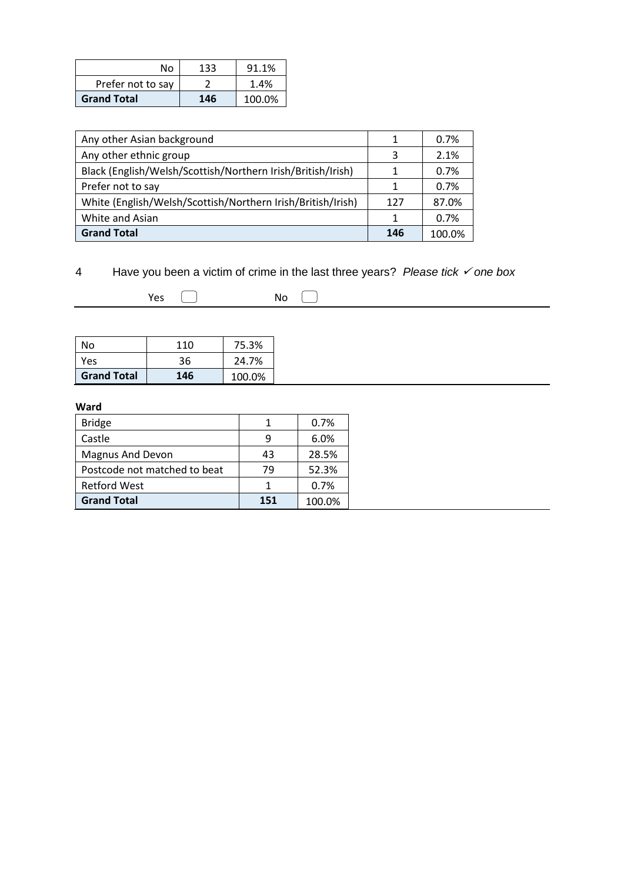| N٥                 | 133 | 91.1%  |
|--------------------|-----|--------|
| Prefer not to say  |     | 1.4%   |
| <b>Grand Total</b> | 146 | 100.0% |

| Any other Asian background                                  | 1   | 0.7%   |
|-------------------------------------------------------------|-----|--------|
| Any other ethnic group                                      | 3   | 2.1%   |
| Black (English/Welsh/Scottish/Northern Irish/British/Irish) |     | 0.7%   |
| Prefer not to say                                           |     | 0.7%   |
| White (English/Welsh/Scottish/Northern Irish/British/Irish) | 127 | 87.0%  |
| White and Asian                                             | 1   | 0.7%   |
| <b>Grand Total</b>                                          | 146 | 100.0% |

### 4 Have you been a victim of crime in the last three years? *Please tick one box*

| N٥                 | 110 | 75.3%  |
|--------------------|-----|--------|
| Yes                | 36  | 24.7%  |
| <b>Grand Total</b> | 146 | 100.0% |

#### **Ward**

| <b>Bridge</b>                |     | 0.7%   |
|------------------------------|-----|--------|
| Castle                       |     | 6.0%   |
| <b>Magnus And Devon</b>      | 43  | 28.5%  |
| Postcode not matched to beat | 79  | 52.3%  |
| <b>Retford West</b>          |     | 0.7%   |
| <b>Grand Total</b>           | 151 | 100.0% |